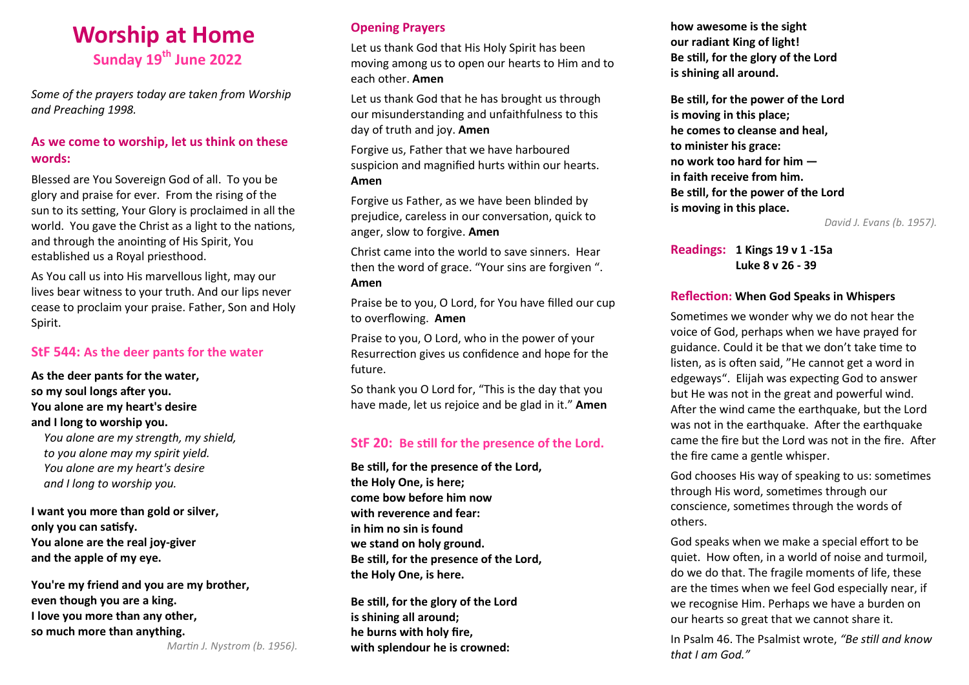# **Worship at Home Sunday 19th June 2022**

*Some of the prayers today are taken from Worship and Preaching 1998.*

### **As we come to worship, let us think on these words:**

Blessed are You Sovereign God of all. To you be glory and praise for ever. From the rising of the sun to its setting, Your Glory is proclaimed in all the world. You gave the Christ as a light to the nations, and through the anointing of His Spirit, You established us a Royal priesthood.

As You call us into His marvellous light, may our lives bear witness to your truth. And our lips never cease to proclaim your praise. Father, Son and Holy Spirit.

#### **StF 544: As the deer pants for the water**

**As the deer pants for the water, so my soul longs after you. You alone are my heart's desire and I long to worship you.**

*You alone are my strength, my shield, to you alone may my spirit yield. You alone are my heart's desire and I long to worship you.*

**I want you more than gold or silver, only you can satisfy. You alone are the real joy-giver and the apple of my eye.**

**You're my friend and you are my brother, even though you are a king. I love you more than any other, so much more than anything.**

*Martin J. Nystrom (b. 1956).* 

# **Opening Prayers**

Let us thank God that His Holy Spirit has been moving among us to open our hearts to Him and to each other. **Amen** 

Let us thank God that he has brought us through our misunderstanding and unfaithfulness to this day of truth and joy. **Amen** 

Forgive us, Father that we have harboured suspicion and magnified hurts within our hearts. **Amen**

Forgive us Father, as we have been blinded by prejudice, careless in our conversation, quick to anger, slow to forgive. **Amen** 

Christ came into the world to save sinners. Hear then the word of grace. "Your sins are forgiven ". **Amen** 

Praise be to you, O Lord, for You have filled our cup to overflowing. **Amen** 

Praise to you, O Lord, who in the power of your Resurrection gives us confidence and hope for the future.

So thank you O Lord for, "This is the day that you have made, let us rejoice and be glad in it." **Amen** 

#### **StF 20: Be still for the presence of the Lord.**

**Be still, for the presence of the Lord, the Holy One, is here; come bow before him now with reverence and fear: in him no sin is found we stand on holy ground. Be still, for the presence of the Lord, the Holy One, is here.**

**Be still, for the glory of the Lord is shining all around; he burns with holy fire, with splendour he is crowned:**

**how awesome is the sight our radiant King of light! Be still, for the glory of the Lord is shining all around.**

**Be still, for the power of the Lord is moving in this place; he comes to cleanse and heal, to minister his grace: no work too hard for him in faith receive from him. Be still, for the power of the Lord is moving in this place.**

*David J. Evans (b. 1957).* 

#### **Readings: 1 Kings 19 v 1 -15a Luke 8 v 26 - 39**

#### **Reflection: When God Speaks in Whispers**

Sometimes we wonder why we do not hear the voice of God, perhaps when we have prayed for guidance. Could it be that we don't take time to listen, as is often said, "He cannot get a word in edgeways". Elijah was expecting God to answer but He was not in the great and powerful wind. After the wind came the earthquake, but the Lord was not in the earthquake. After the earthquake came the fire but the Lord was not in the fire. After the fire came a gentle whisper.

God chooses His way of speaking to us: sometimes through His word, sometimes through our conscience, sometimes through the words of others.

God speaks when we make a special effort to be quiet. How often, in a world of noise and turmoil, do we do that. The fragile moments of life, these are the times when we feel God especially near, if we recognise Him. Perhaps we have a burden on our hearts so great that we cannot share it.

In Psalm 46. The Psalmist wrote, *"Be still and know that I am God."*